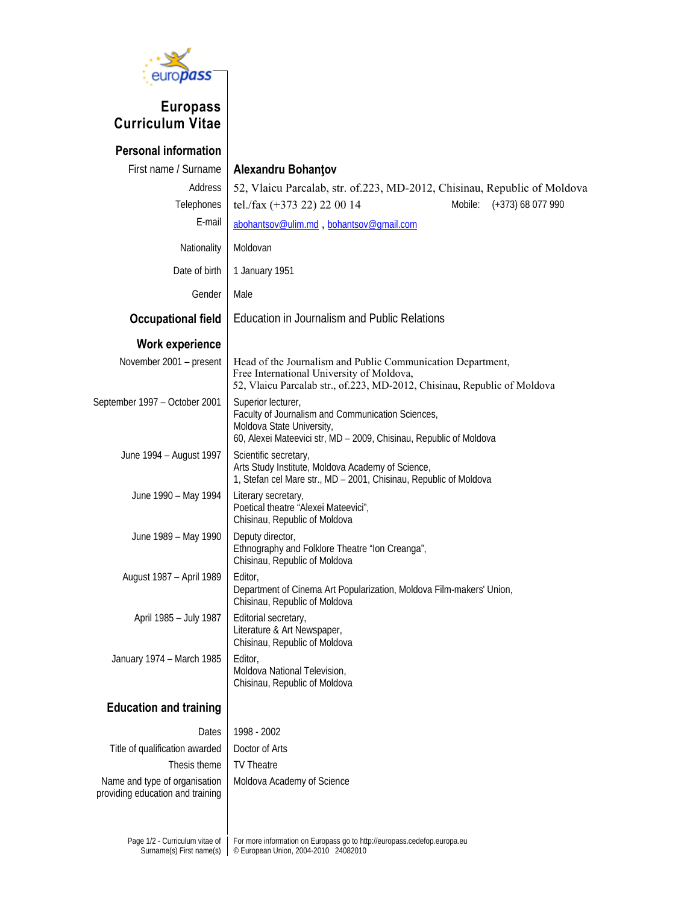

## **Europass Curriculum Vitae**

| <b>Personal information</b>                                       |                                                                                                                                                                                      |  |  |  |  |  |  |  |  |
|-------------------------------------------------------------------|--------------------------------------------------------------------------------------------------------------------------------------------------------------------------------------|--|--|--|--|--|--|--|--|
| First name / Surname                                              | Alexandru Bohantov                                                                                                                                                                   |  |  |  |  |  |  |  |  |
| Address                                                           | 52, Vlaicu Parcalab, str. of.223, MD-2012, Chisinau, Republic of Moldova                                                                                                             |  |  |  |  |  |  |  |  |
| Telephones                                                        | tel./fax (+373 22) 22 00 14<br>Mobile: (+373) 68 077 990                                                                                                                             |  |  |  |  |  |  |  |  |
| E-mail                                                            | abohantsov@ulim.md, bohantsov@gmail.com                                                                                                                                              |  |  |  |  |  |  |  |  |
| Nationality                                                       | Moldovan                                                                                                                                                                             |  |  |  |  |  |  |  |  |
| Date of birth                                                     | 1 January 1951                                                                                                                                                                       |  |  |  |  |  |  |  |  |
| Gender                                                            | Male                                                                                                                                                                                 |  |  |  |  |  |  |  |  |
| <b>Occupational field</b>                                         | Education in Journalism and Public Relations                                                                                                                                         |  |  |  |  |  |  |  |  |
| <b>Work experience</b>                                            |                                                                                                                                                                                      |  |  |  |  |  |  |  |  |
| November 2001 - present                                           | Head of the Journalism and Public Communication Department,<br>Free International University of Moldova,<br>52, Vlaicu Parcalab str., of.223, MD-2012, Chisinau, Republic of Moldova |  |  |  |  |  |  |  |  |
| September 1997 - October 2001                                     | Superior lecturer,<br>Faculty of Journalism and Communication Sciences,<br>Moldova State University,<br>60, Alexei Mateevici str, MD - 2009, Chisinau, Republic of Moldova           |  |  |  |  |  |  |  |  |
| June 1994 - August 1997                                           | Scientific secretary,<br>Arts Study Institute, Moldova Academy of Science,<br>1, Stefan cel Mare str., MD - 2001, Chisinau, Republic of Moldova                                      |  |  |  |  |  |  |  |  |
| June 1990 - May 1994                                              | Literary secretary,<br>Poetical theatre "Alexei Mateevici",<br>Chisinau, Republic of Moldova                                                                                         |  |  |  |  |  |  |  |  |
| June 1989 - May 1990                                              | Deputy director,<br>Ethnography and Folklore Theatre "Ion Creanga",<br>Chisinau, Republic of Moldova                                                                                 |  |  |  |  |  |  |  |  |
| August 1987 - April 1989                                          | Editor,<br>Department of Cinema Art Popularization, Moldova Film-makers' Union,<br>Chisinau, Republic of Moldova                                                                     |  |  |  |  |  |  |  |  |
| April 1985 - July 1987                                            | Editorial secretary,<br>Literature & Art Newspaper,<br>Chisinau, Republic of Moldova                                                                                                 |  |  |  |  |  |  |  |  |
| January 1974 - March 1985                                         | Editor,<br>Moldova National Television,<br>Chisinau, Republic of Moldova                                                                                                             |  |  |  |  |  |  |  |  |
| <b>Education and training</b>                                     |                                                                                                                                                                                      |  |  |  |  |  |  |  |  |
| Dates                                                             | 1998 - 2002                                                                                                                                                                          |  |  |  |  |  |  |  |  |
| Title of qualification awarded                                    | Doctor of Arts                                                                                                                                                                       |  |  |  |  |  |  |  |  |
| Thesis theme                                                      | <b>TV Theatre</b>                                                                                                                                                                    |  |  |  |  |  |  |  |  |
| Name and type of organisation<br>providing education and training | Moldova Academy of Science                                                                                                                                                           |  |  |  |  |  |  |  |  |
| Page 1/2 - Curriculum vitae of<br>Surname(s) First name(s)        | For more information on Europass go to http://europass.cedefop.europa.eu<br>© European Union, 2004-2010 24082010                                                                     |  |  |  |  |  |  |  |  |